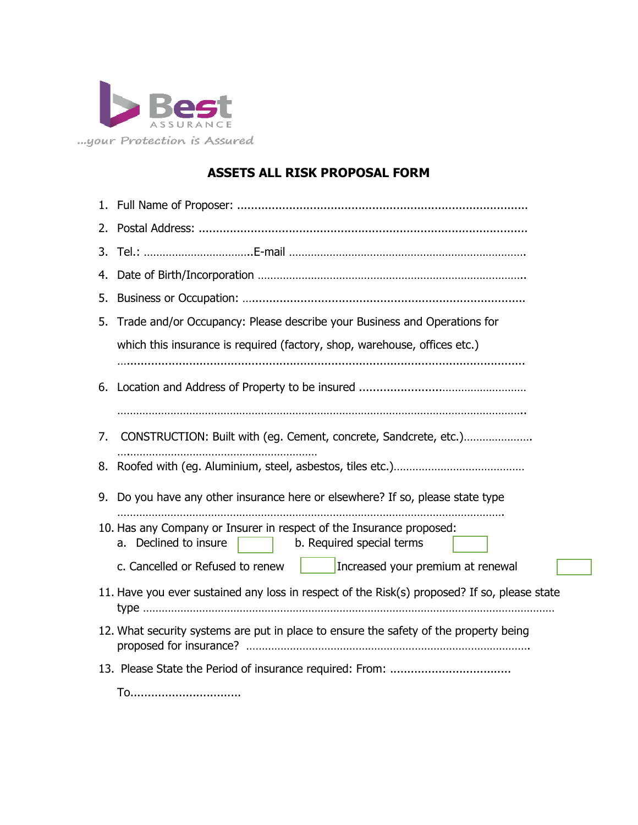

## **ASSETS ALL RISK PROPOSAL FORM**

| 3. |                                                                                                                            |  |  |
|----|----------------------------------------------------------------------------------------------------------------------------|--|--|
| 4. |                                                                                                                            |  |  |
| 5. |                                                                                                                            |  |  |
| 5. | Trade and/or Occupancy: Please describe your Business and Operations for                                                   |  |  |
|    | which this insurance is required (factory, shop, warehouse, offices etc.)                                                  |  |  |
|    |                                                                                                                            |  |  |
|    |                                                                                                                            |  |  |
|    |                                                                                                                            |  |  |
| 7. | CONSTRUCTION: Built with (eg. Cement, concrete, Sandcrete, etc.)                                                           |  |  |
|    |                                                                                                                            |  |  |
|    | 9. Do you have any other insurance here or elsewhere? If so, please state type                                             |  |  |
|    | 10. Has any Company or Insurer in respect of the Insurance proposed:<br>a. Declined to insure<br>b. Required special terms |  |  |
|    | Increased your premium at renewal<br>c. Cancelled or Refused to renew                                                      |  |  |
|    | 11. Have you ever sustained any loss in respect of the Risk(s) proposed? If so, please state                               |  |  |
|    | 12. What security systems are put in place to ensure the safety of the property being                                      |  |  |
|    |                                                                                                                            |  |  |
|    | To                                                                                                                         |  |  |

٦